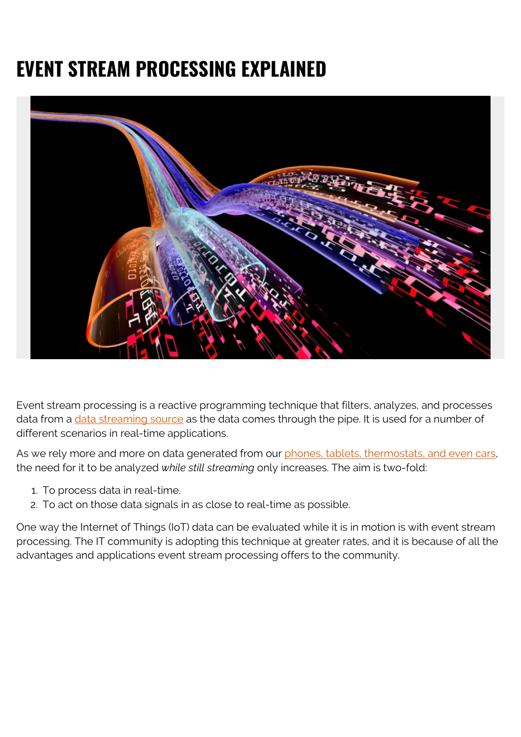# **EVENT STREAM PROCESSING EXPLAINED**



Event stream processing is a reactive programming technique that filters, analyzes, and processes data from a [data streaming source](https://blogs.bmc.com/blogs/data-streaming/) as the data comes through the pipe. It is used for a number of different scenarios in real-time applications.

As we rely more and more on data generated from our [phones, tablets, thermostats, and even cars,](https://blogs.bmc.com/blogs/iot-internet-of-things/) the need for it to be analyzed *while still streaming* only increases. The aim is two-fold:

- 1. To process data in real-time.
- 2. To act on those data signals in as close to real-time as possible.

One way the Internet of Things (IoT) data can be evaluated while it is in motion is with event stream processing. The IT community is adopting this technique at greater rates, and it is because of all the advantages and applications event stream processing offers to the community.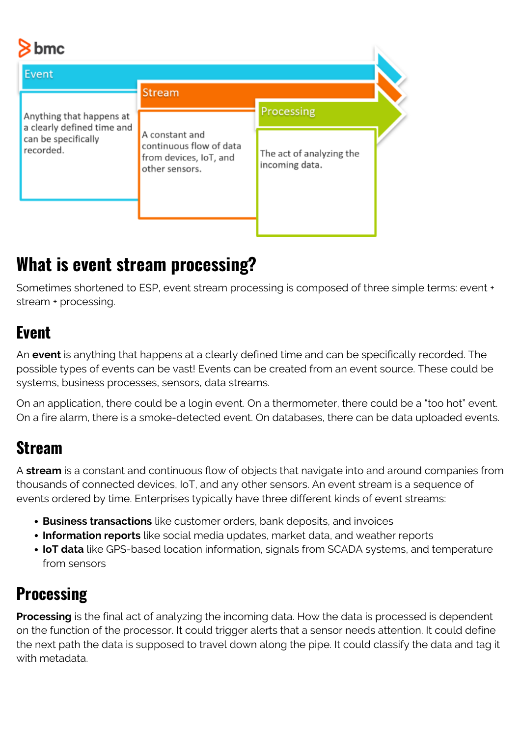# $\overline{\phantom{a}}$

| $\sim$ DINC                                                                                |                                                                                       |                                            |  |
|--------------------------------------------------------------------------------------------|---------------------------------------------------------------------------------------|--------------------------------------------|--|
| Event                                                                                      |                                                                                       |                                            |  |
|                                                                                            | <b>Stream</b>                                                                         |                                            |  |
| Anything that happens at<br>a clearly defined time and<br>can be specifically<br>recorded. |                                                                                       | Processing                                 |  |
|                                                                                            | A constant and<br>continuous flow of data<br>from devices, IoT, and<br>other sensors. | The act of analyzing the<br>incoming data. |  |
|                                                                                            |                                                                                       |                                            |  |
|                                                                                            |                                                                                       |                                            |  |

# **What is event stream processing?**

Sometimes shortened to ESP, event stream processing is composed of three simple terms: event + stream + processing.

#### **Event**

An **event** is anything that happens at a clearly defined time and can be specifically recorded. The possible types of events can be vast! Events can be created from an event source. These could be systems, business processes, sensors, data streams.

On an application, there could be a login event. On a thermometer, there could be a "too hot" event. On a fire alarm, there is a smoke-detected event. On databases, there can be data uploaded events.

#### **Stream**

A **stream** is a constant and continuous flow of objects that navigate into and around companies from thousands of connected devices, IoT, and any other sensors. An event stream is a sequence of events ordered by time. Enterprises typically have three different kinds of event streams:

- **Business transactions** like customer orders, bank deposits, and invoices
- **Information reports** like social media updates, market data, and weather reports
- **IoT data** like GPS-based location information, signals from SCADA systems, and temperature from sensors

#### **Processing**

**Processing** is the final act of analyzing the incoming data. How the data is processed is dependent on the function of the processor. It could trigger alerts that a sensor needs attention. It could define the next path the data is supposed to travel down along the pipe. It could classify the data and tag it with metadata.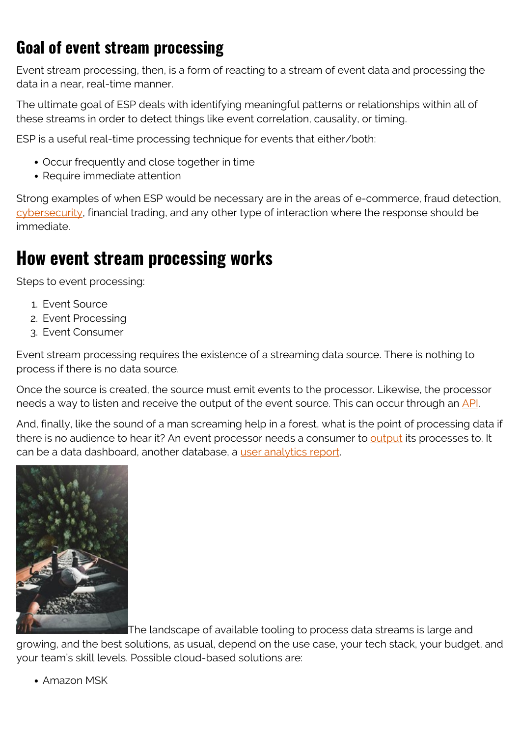#### **Goal of event stream processing**

Event stream processing, then, is a form of reacting to a stream of event data and processing the data in a near, real-time manner.

The ultimate goal of ESP deals with identifying meaningful patterns or relationships within all of these streams in order to detect things like event correlation, causality, or timing.

ESP is a useful real-time processing technique for events that either/both:

- Occur frequently and close together in time
- Require immediate attention

Strong examples of when ESP would be necessary are in the areas of e-commerce, fraud detection, [cybersecurity](https://blogs.bmc.com/blogs/cybersecurity/), financial trading, and any other type of interaction where the response should be immediate.

### **How event stream processing works**

Steps to event processing:

- 1. Event Source
- 2. Event Processing
- 3. Event Consumer

Event stream processing requires the existence of a streaming data source. There is nothing to process if there is no data source.

Once the source is created, the source must emit events to the processor. Likewise, the processor needs a way to listen and receive the output of the event source. This can occur through an [API.](https://blogs.bmc.com/blogs/microservice-vs-api/)

And, finally, like the sound of a man screaming help in a forest, what is the point of processing data if there is no audience to hear it? An event processor needs a consumer to [output](https://blogs.bmc.com/blogs/outcomes-vs-outputs) its processes to. It can be a data dashboard, another database, a [user analytics report](https://blogs.bmc.com/blogs/data-analytics-vs-data-analysis).



The landscape of available tooling to process data streams is large and

growing, and the best solutions, as usual, depend on the use case, your tech stack, your budget, and your team's skill levels. Possible cloud-based solutions are:

Amazon MSK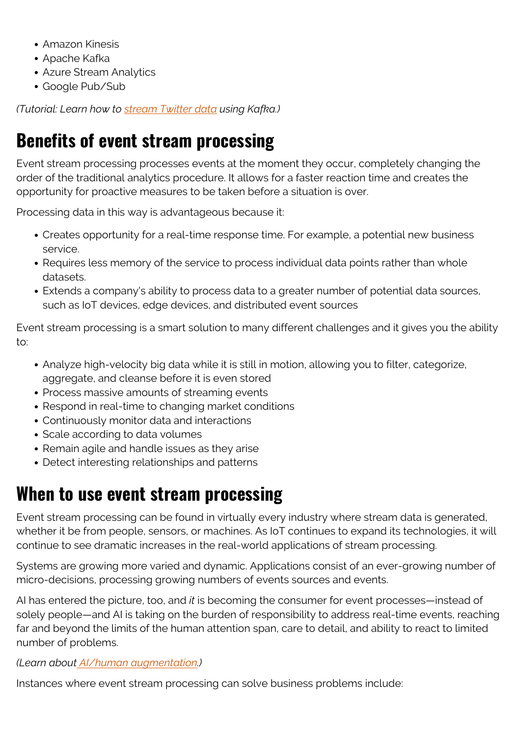- Amazon Kinesis
- Apache Kafka
- Azure Stream Analytics
- Google Pub/Sub

*(Tutorial: Learn how to [stream Twitter data](https://blogs.bmc.com/blogs/working-streaming-twitter-data-using-kafka/) using Kafka.)*

# **Benefits of event stream processing**

Event stream processing processes events at the moment they occur, completely changing the order of the traditional analytics procedure. It allows for a faster reaction time and creates the opportunity for proactive measures to be taken before a situation is over.

Processing data in this way is advantageous because it:

- Creates opportunity for a real-time response time. For example, a potential new business service.
- Requires less memory of the service to process individual data points rather than whole datasets.
- Extends a company's ability to process data to a greater number of potential data sources, such as IoT devices, edge devices, and distributed event sources

Event stream processing is a smart solution to many different challenges and it gives you the ability to:

- Analyze high-velocity big data while it is still in motion, allowing you to filter, categorize, aggregate, and cleanse before it is even stored
- Process massive amounts of streaming events
- Respond in real-time to changing market conditions
- Continuously monitor data and interactions
- Scale according to data volumes
- Remain agile and handle issues as they arise
- Detect interesting relationships and patterns

## **When to use event stream processing**

Event stream processing can be found in virtually every industry where stream data is generated, whether it be from people, sensors, or machines. As IoT continues to expand its technologies, it will continue to see dramatic increases in the real-world applications of stream processing.

Systems are growing more varied and dynamic. Applications consist of an ever-growing number of micro-decisions, processing growing numbers of events sources and events.

AI has entered the picture, too, and *it* is becoming the consumer for event processes—instead of solely people—and AI is taking on the burden of responsibility to address real-time events, reaching far and beyond the limits of the human attention span, care to detail, and ability to react to limited number of problems.

#### *(Learn about [AI/human augmentation](https://blogs.bmc.com/blogs/ai-human-augmentation/).)*

Instances where event stream processing can solve business problems include: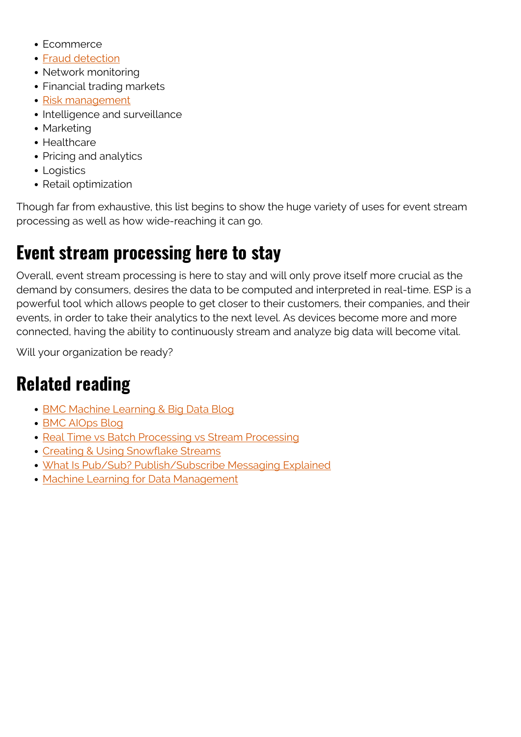- Fcommerce
- [Fraud detection](https://blogs.bmc.com/blogs/machine-learning-anomaly-detection/)
- Network monitoring
- Financial trading markets
- [Risk management](https://blogs.bmc.com/blogs/risk-management/)
- Intelligence and surveillance
- Marketing
- Healthcare
- Pricing and analytics
- Logistics
- Retail optimization

Though far from exhaustive, this list begins to show the huge variety of uses for event stream processing as well as how wide-reaching it can go.

## **Event stream processing here to stay**

Overall, event stream processing is here to stay and will only prove itself more crucial as the demand by consumers, desires the data to be computed and interpreted in real-time. ESP is a powerful tool which allows people to get closer to their customers, their companies, and their events, in order to take their analytics to the next level. As devices become more and more connected, having the ability to continuously stream and analyze big data will become vital.

Will your organization be ready?

## **Related reading**

- [BMC Machine Learning & Big Data Blog](https://blogs.bmc.com/blogs/categories/machine-learning-big-data/)
- [BMC AIOps Blog](https://blogs.bmc.com/blogs/categories/aiops/)
- [Real Time vs Batch Processing vs Stream Processing](https://blogs.bmc.com/blogs/batch-processing-stream-processing-real-time/)
- [Creating & Using Snowflake Streams](https://blogs.bmc.com/blogs/snowflake-table-streams/)
- [What Is Pub/Sub? Publish/Subscribe Messaging Explained](https://blogs.bmc.com/blogs/pub-sub-publish-subscribe/)
- [Machine Learning for Data Management](https://blogs.bmc.com/blogs/machine-learning-data-management/)